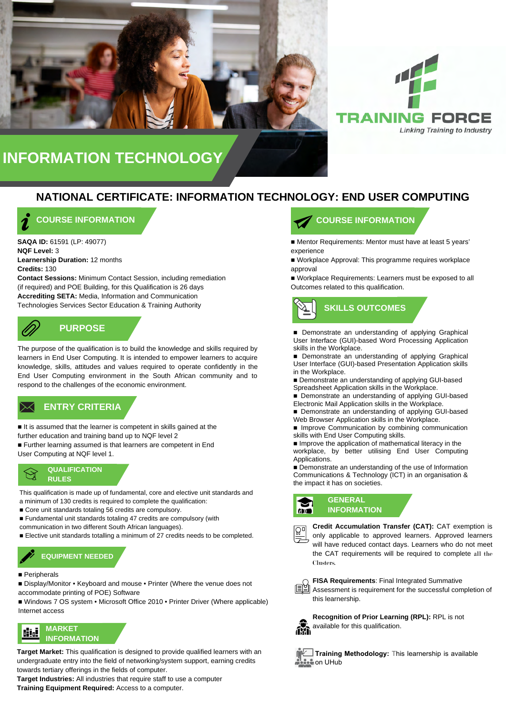



### **NATIONAL CERTIFICATE: INFORMATION TECHNOLOGY: END USER COMPUTING**

### **COURSE INFORMATION**

**SAQA ID:** 61591 (LP: 49077) **NQF Level:** 3 **Learnership Duration:** 12 months **Credits:** 130

**Contact Sessions:** Minimum Contact Session, including remediation (if required) and POE Building, for this Qualification is 26 days **Accrediting SETA:** Media, Information and Communication Technologies Services Sector Education & Training Authority

# **PURPOSE**

The purpose of the qualification is to build the knowledge and skills required by learners in End User Computing. It is intended to empower learners to acquire knowledge, skills, attitudes and values required to operate confidently in the End User Computing environment in the South African community and to respond to the challenges of the economic environment.

# **ENTRY CRITERIA ENTRY CRITERIA**

■ It is assumed that the learner is competent in skills gained at the further education and training band up to NQF level 2 ■ Further learning assumed is that learners are competent in End

User Computing at NQF level 1.



This qualification is made up of fundamental, core and elective unit standards and a minimum of 130 credits is required to complete the qualification:

- Core unit standards totaling 56 credits are compulsory.
- Fundamental unit standards totaling 47 credits are compulsory (with communication in two different South African languages).
- Elective unit standards totalling a minimum of 27 credits needs to be completed.



#### ■ Peripherals

■ Display/Monitor • Keyboard and mouse • Printer (Where the venue does not accommodate printing of POE) Software

■ Windows 7 OS system • Microsoft Office 2010 • Printer Driver (Where applicable) Internet access



**Target Market:** This qualification is designed to provide qualified learners with an undergraduate entry into the field of networking/system support, earning credits towards tertiary offerings in the fields of computer.

**Target Industries:** All industries that require staff to use a computer **Training Equipment Required:** Access to a computer.

### **COURSE INFORMATION**

■ Mentor Requirements: Mentor must have at least 5 years' experience

■ Workplace Approval: This programme requires workplace approval

■ Workplace Requirements: Learners must be exposed to all Outcomes related to this qualification.



■ Demonstrate an understanding of applying Graphical User Interface (GUI)-based Word Processing Application skills in the Workplace.

- Demonstrate an understanding of applying Graphical User Interface (GUI)-based Presentation Application skills in the Workplace.
- Demonstrate an understanding of applying GUI-based Spreadsheet Application skills in the Workplace.
- Demonstrate an understanding of applying GUI-based Electronic Mail Application skills in the Workplace.
- Demonstrate an understanding of applying GUI-based Web Browser Application skills in the Workplace.
- Improve Communication by combining communication skills with End User Computing skills.

■ Improve the application of mathematical literacy in the workplace, by better utilising End User Computing Applications.

■ Demonstrate an understanding of the use of Information Communications & Technology (ICT) in an organisation & the impact it has on societies.

#### **GENERAL INFORMATION GOID**



**Credit Accumulation Transfer (CAT):** CAT exemption is only applicable to approved learners. Approved learners will have reduced contact days. Learners who do not meet the CAT requirements will be required to complete all the Clusters.





**Recognition of Prior Learning (RPL):** RPL is not available for this qualification.



**Training Methodology:** This learnership is available **Com** on UHub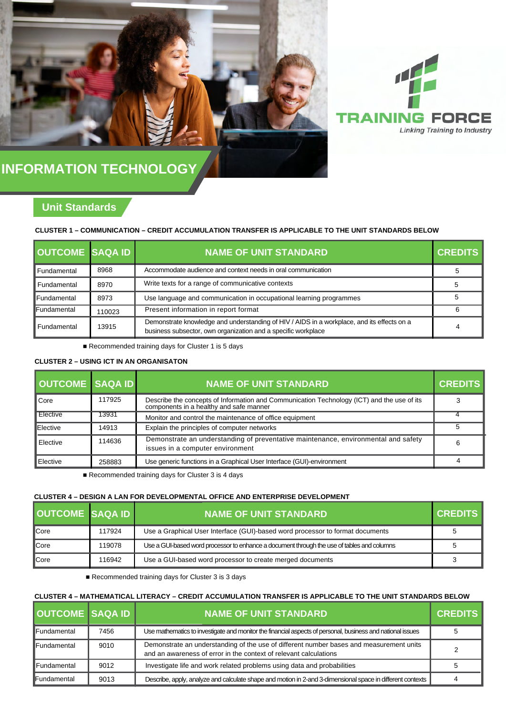



### **Unit Standards**

#### **CLUSTER 1 – COMMUNICATION – CREDIT ACCUMULATION TRANSFER IS APPLICABLE TO THE UNIT STANDARDS BELOW**

| OUTCOME SAQA ID |        | <b>NAME OF UNIT STANDARD</b>                                                                                                                                | <b>CREDITS</b> |
|-----------------|--------|-------------------------------------------------------------------------------------------------------------------------------------------------------------|----------------|
| Fundamental     | 8968   | Accommodate audience and context needs in oral communication                                                                                                |                |
| Fundamental     | 8970   | Write texts for a range of communicative contexts                                                                                                           |                |
| Fundamental     | 8973   | Use language and communication in occupational learning programmes                                                                                          |                |
| Fundamental     | 110023 | Present information in report format                                                                                                                        | 6              |
| Fundamental     | 13915  | Demonstrate knowledge and understanding of HIV / AIDS in a workplace, and its effects on a<br>business subsector, own organization and a specific workplace |                |

■ Recommended training days for Cluster 1 is 5 days

#### **CLUSTER 2 – USING ICT IN AN ORGANISATON**

| <b>OUTCOME SAQA ID</b> |        | <b>NAME OF UNIT STANDARD</b>                                                                                                          | <b>CREDITS</b> |
|------------------------|--------|---------------------------------------------------------------------------------------------------------------------------------------|----------------|
| Core                   | 117925 | Describe the concepts of Information and Communication Technology (ICT) and the use of its<br>components in a healthy and safe manner |                |
| Elective               | 13931  | Monitor and control the maintenance of office equipment                                                                               |                |
| Elective               | 14913  | Explain the principles of computer networks                                                                                           |                |
| Elective               | 114636 | Demonstrate an understanding of preventative maintenance, environmental and safety<br>issues in a computer environment                | 6              |
| Elective               | 258883 | Use generic functions in a Graphical User Interface (GUI)-environment                                                                 |                |

■ Recommended training days for Cluster 3 is 4 days

### **CLUSTER 4 – DESIGN A LAN FOR DEVELOPMENTAL OFFICE AND ENTERPRISE DEVELOPMENT**

| <b>OUTCOME SAQA ID</b> |        | <b>NAME OF UNIT STANDARD</b>                                                               | <b>CREDITS</b> |
|------------------------|--------|--------------------------------------------------------------------------------------------|----------------|
| <b>ICore</b>           | 117924 | Use a Graphical User Interface (GUI)-based word processor to format documents              |                |
| <b>ICore</b>           | 119078 | Use a GUI-based word processor to enhance a document through the use of tables and columns |                |
| ICore                  | 116942 | Use a GUI-based word processor to create merged documents                                  | っ              |

■ Recommended training days for Cluster 3 is 3 days

#### **CLUSTER 4 – MATHEMATICAL LITERACY – CREDIT ACCUMULATION TRANSFER IS APPLICABLE TO THE UNIT STANDARDS BELOW**

| <b>OUTCOME SAQA ID</b> |      | <b>NAME OF UNIT STANDARD</b>                                                                                                                                 | <b>CREDITS</b> |
|------------------------|------|--------------------------------------------------------------------------------------------------------------------------------------------------------------|----------------|
| <b>IFundamental</b>    | 7456 | Use mathematics to investigate and monitor the financial aspects of personal, business and national issues                                                   |                |
| <b>IFundamental</b>    | 9010 | Demonstrate an understanding of the use of different number bases and measurement units<br>and an awareness of error in the context of relevant calculations |                |
| <b>I</b> Fundamental   | 9012 | Investigate life and work related problems using data and probabilities                                                                                      |                |
| <b>IFundamental</b>    | 9013 | Describe, apply, analyze and calculate shape and motion in 2-and 3-dimensional space in different contexts                                                   |                |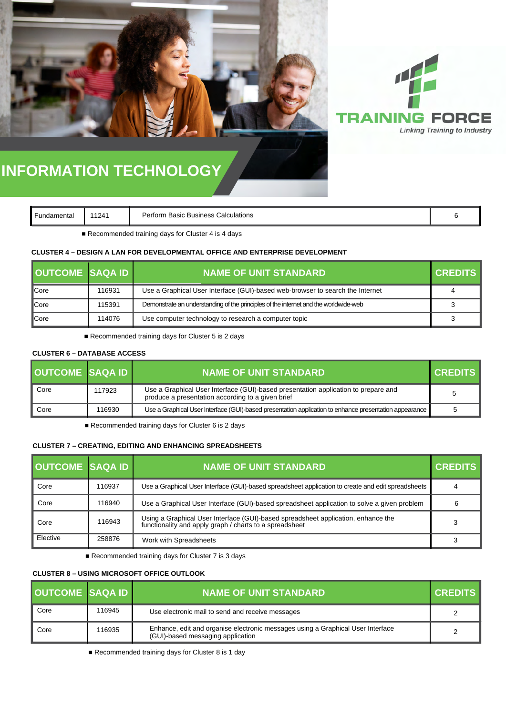



| Fundamental |
|-------------|
|-------------|

**Fundal Perform Basic Business Calculations 6 and 11241 Perform Basic Business Calculations 6 and 1241 6** 

■ Recommended training days for Cluster 4 is 4 days

#### **CLUSTER 4 – DESIGN A LAN FOR DEVELOPMENTAL OFFICE AND ENTERPRISE DEVELOPMENT**

| OUTCOME SAQA ID |        | <b>NAME OF UNIT STANDARD.</b>                                                        | <b>CREDITS</b> |
|-----------------|--------|--------------------------------------------------------------------------------------|----------------|
| <b>Core</b>     | 116931 | Use a Graphical User Interface (GUI)-based web-browser to search the Internet        |                |
| <b>Core</b>     | 115391 | Demonstrate an understanding of the principles of the internet and the worldwide-web |                |
| <b>C</b> ore    | 114076 | Use computer technology to research a computer topic                                 |                |

■ Recommended training days for Cluster 5 is 2 days

#### **CLUSTER 6 – DATABASE ACCESS**

| <b>OUTCOME SAQA ID</b> |        | <b>NAME OF UNIT STANDARD</b>                                                                                                            | I CREDITS I |
|------------------------|--------|-----------------------------------------------------------------------------------------------------------------------------------------|-------------|
| Core                   | 117923 | Use a Graphical User Interface (GUI)-based presentation application to prepare and<br>produce a presentation according to a given brief |             |
| Core                   | 116930 | Use a Graphical User Interface (GUI)-based presentation application to enhance presentation appearance                                  |             |

■ Recommended training days for Cluster 6 is 2 days

#### **CLUSTER 7 – CREATING, EDITING AND ENHANCING SPREADSHEETS**

| <b>OUTCOME SAQA ID</b> |        | <b>NAME OF UNIT STANDARD</b>                                                                                                                 | <b>CREDITS</b> |
|------------------------|--------|----------------------------------------------------------------------------------------------------------------------------------------------|----------------|
| Core                   | 116937 | Use a Graphical User Interface (GUI)-based spreadsheet application to create and edit spreadsheets                                           | 4              |
| Core                   | 116940 | Use a Graphical User Interface (GUI)-based spreadsheet application to solve a given problem                                                  |                |
| Core                   | 116943 | Using a Graphical User Interface (GUI)-based spreadsheet application, enhance the<br>functionality and apply graph / charts to a spreadsheet |                |
| Elective               | 258876 | Work with Spreadsheets                                                                                                                       |                |

■ Recommended training days for Cluster 7 is 3 days

#### **CLUSTER 8 – USING MICROSOFT OFFICE OUTLOOK**

| <b>OUTCOME SAQA ID</b> |        | <b>NAME OF UNIT STANDARD</b>                                                                                         | <b>CREDITS</b> |
|------------------------|--------|----------------------------------------------------------------------------------------------------------------------|----------------|
| Core                   | 116945 | Use electronic mail to send and receive messages                                                                     |                |
| Core                   | 116935 | Enhance, edit and organise electronic messages using a Graphical User Interface<br>(GUI)-based messaging application |                |

■ Recommended training days for Cluster 8 is 1 day